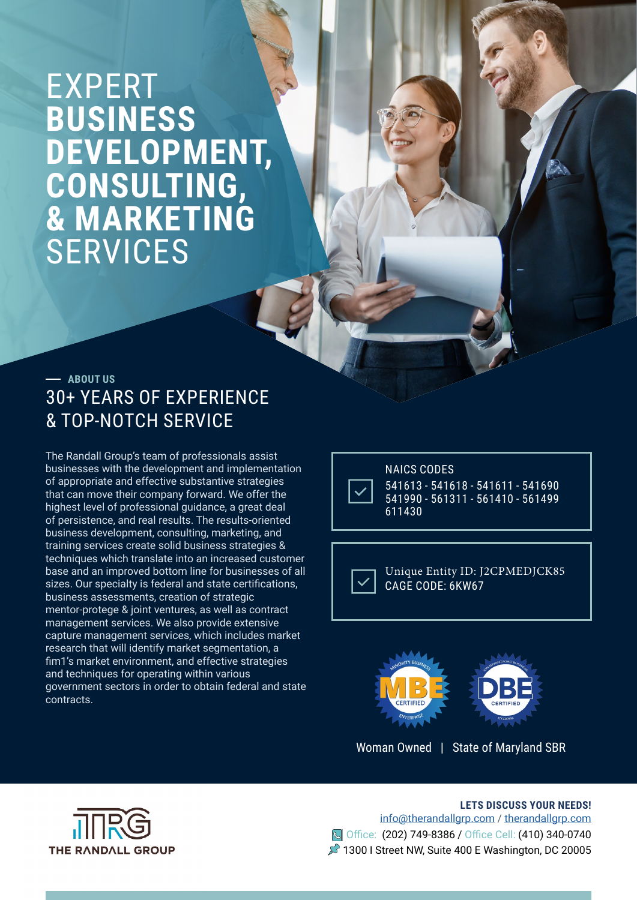# EXPERT **BUSINESS DEVELOPMENT, CONSULTING, & MARKETING** SERVICES

### 30+ YEARS OF EXPERIENCE & TOP-NOTCH SERVICE **ABOUT US**

The Randall Group's team of professionals assist businesses with the development and implementation of appropriate and effective substantive strategies that can move their company forward. We offer the highest level of professional guidance, a great deal of persistence, and real results. The results-oriented business development, consulting, marketing, and training services create solid business strategies & techniques which translate into an increased customer base and an improved bottom line for businesses of all sizes. Our specialty is federal and state certifications, business assessments, creation of strategic mentor-protege & joint ventures, as well as contract management services. We also provide extensive capture management services, which includes market research that will identify market segmentation, a fim1's market environment, and effective strategies and techniques for operating within various government sectors in order to obtain federal and state contracts.



NAICS CODES 541613 - 541618 - 541611 - 541690 541990 - 561311 - 561410 - 561499 611430

Unique Entity ID: J2CPMEDJCK85 CAGE CODE: 6KW67



Woman Owned | State of Maryland SBR



**LETS DISCUSS YOUR NEEDS!**  info@therandallgrp.com / therandallgrp.com Office: (202) 749-8386 / Office Cell: (410) 340-0740 1300 I Street NW, Suite 400 E Washington, DC 20005